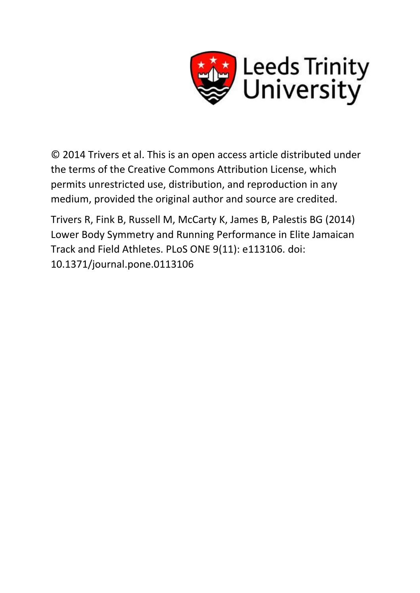

© 2014 Trivers et al. This is an open access article distributed under the terms of the Creative Commons Attribution License, which permits unrestricted use, distribution, and reproduction in any medium, provided the original author and source are credited.

Trivers R, Fink B, Russell M, McCarty K, James B, Palestis BG (2014) Lower Body Symmetry and Running Performance in Elite Jamaican Track and Field Athletes. PLoS ONE 9(11): e113106. doi: 10.1371/journal.pone.0113106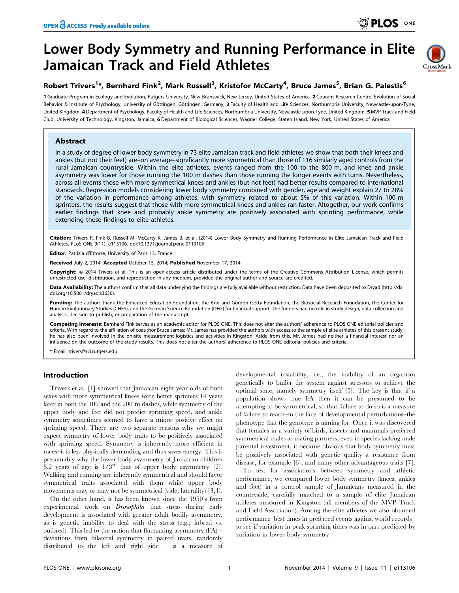# Lower Body Symmetry and Running Performance in Elite Jamaican Track and Field Athletes



## Robert Trivers<sup>1</sup>\*, Bernhard Fink<sup>2</sup>, Mark Russell<sup>3</sup>, Kristofor McCarty<sup>4</sup>, Bruce James<sup>5</sup>, Brian G. Palestis<sup>6</sup>

1 Graduate Program in Ecology and Evolution, Rutgers University, New Brunswick, New Jersey, United States of America, 2 Courant Research Centre, Evolution of Social Behavior & Institute of Psychology, University of Göttingen, Göttingen, Germany, 3 Faculty of Health and Life Sciences, Northumbria University, Newcastle-upon-Tyne, United Kingdom, 4Department of Psychology, Faculty of Health and Life Sciences, Northumbria University, Newcastle-upon-Tyne, United Kingdom, 5 MVP Track and Field Club, University of Technology, Kingston, Jamaica, 6 Department of Biological Sciences, Wagner College, Staten Island, New York, United States of America

## Abstract

In a study of degree of lower body symmetry in 73 elite Jamaican track and field athletes we show that both their knees and ankles (but not their feet) are–on average–significantly more symmetrical than those of 116 similarly aged controls from the rural Jamaican countryside. Within the elite athletes, events ranged from the 100 to the 800 m, and knee and ankle asymmetry was lower for those running the 100 m dashes than those running the longer events with turns. Nevertheless, across all events those with more symmetrical knees and ankles (but not feet) had better results compared to international standards. Regression models considering lower body symmetry combined with gender, age and weight explain 27 to 28% of the variation in performance among athletes, with symmetry related to about 5% of this variation. Within 100 m sprinters, the results suggest that those with more symmetrical knees and ankles ran faster. Altogether, our work confirms earlier findings that knee and probably ankle symmetry are positively associated with sprinting performance, while extending these findings to elite athletes.

Citation: Trivers R, Fink B, Russell M, McCarty K, James B, et al. (2014) Lower Body Symmetry and Running Performance in Elite Jamaican Track and Field Athletes. PLoS ONE 9(11): e113106. doi:10.1371/journal.pone.0113106

Editor: Patrizia d'Ettorre, University of Paris 13, France

Received July 2, 2014; Accepted October 15, 2014; Published November 17, 2014

Copyright: © 2014 Trivers et al. This is an open-access article distributed under the terms of the [Creative Commons Attribution License](http://creativecommons.org/licenses/by/4.0/), which permits unrestricted use, distribution, and reproduction in any medium, provided the original author and source are credited.

Data Availability: The authors confirm that all data underlying the findings are fully available without restriction. Data have been deposited to Dryad [\(http://dx.](http://dx.doi.org/10.5061/dryad.s3630) [doi.org/10.5061/dryad.s3630](http://dx.doi.org/10.5061/dryad.s3630)).

Funding: The authors thank the Enhanced Education Foundation, the Ann and Gordon Getty Foundation, the Biosocial Research Foundation, the Center for Human Evolutionary Studies (CHES), and the German Science Foundation (DFG) for financial support. The funders had no role in study design, data collection and analysis, decision to publish, or preparation of the manuscript.

Competing Interests: Bernhard Fink serves as an academic editor for PLOS ONE. This does not alter the authors' adherence to PLOS ONE editorial policies and criteria. With regard to the affiliation of coauthor Bruce James: Mr. James has provided the authors with access to the sample of elite athletes of this present study; he has also been involved in the on-site measurement logistics and activities in Kingston. Aside from this, Mr. James had neither a financial interest nor an influence on the outcome of the study results. This does not alter the authors' adherence to PLOS ONE editorial policies and criteria.

\* Email: trivers@rci.rutgers.edu

## Introduction

Trivers et al. [1] showed that Jamaican eight year olds of both sexes with more symmetrical knees were better sprinters 14 years later in both the 100 and the 200 m dashes, while symmetry of the upper body and feet did not predict sprinting speed, and ankle symmetry sometimes seemed to have a minor positive effect on sprinting speed. There are two separate reasons why we might expect symmetry of lower body traits to be positively associated with sprinting speed. Symmetry is inherently more efficient in races–it is less physically demanding and thus saves energy. This is presumably why the lower body asymmetry of Jamaican children 8.2 years of age is  $1/3^{rd}$  that of upper body asymmetry [2]. Walking and running are inherently symmetrical and should favor symmetrical traits associated with them while upper body movements may or may not be symmetrical (vide, laterality) [3,4].

On the other hand, it has been known since the 1950's from experimental work on Drosophila that stress during early development is associated with greater adult bodily asymmetry, as is genetic inability to deal with the stress (e.g., inbred vs. outbred). This led to the notion that fluctuating asymmetry  $(FA)$  – deviations from bilateral symmetry in paired traits, randomly distributed to the left and right side – is a measure of developmental instability, i.e., the inability of an organism genetically to buffer the system against stressors to achieve the optimal state, namely symmetry itself [5]. The key is that if a population shows true FA then it can be presumed to be attempting to be symmetrical, so that failure to do so is a measure of failure to reach–in the face of developmental perturbations–the phenotype that the genotype is aiming for. Once it was discovered that females in a variety of birds, insects and mammals preferred symmetrical males as mating partners, even in species lacking male parental investment, it became obvious that body symmetry must be positively associated with genetic quality–a resistance from disease, for example [6], and many other advantageous traits [7].

To test for associations between symmetry and athletic performance, we compared lower body symmetry (knees, ankles and feet) in a control sample of Jamaicans measured in the countryside, carefully matched to a sample of elite Jamaican athletes measured in Kingston (all members of the MVP Track and Field Association). Among the elite athletes we also obtained performance–best times in preferred events against world records– to see if variation in peak sprinting times was in part predicted by variation in lower body symmetry.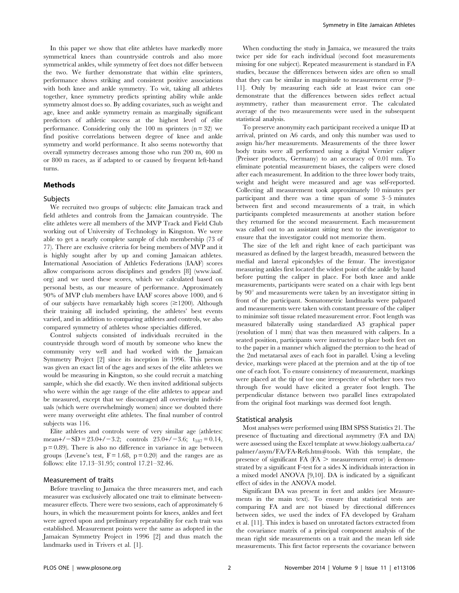In this paper we show that elite athletes have markedly more symmetrical knees than countryside controls and also more symmetrical ankles, while symmetry of feet does not differ between the two. We further demonstrate that within elite sprinters, performance shows striking and consistent positive associations with both knee and ankle symmetry. To wit, taking all athletes together, knee symmetry predicts sprinting ability while ankle symmetry almost does so. By adding covariates, such as weight and age, knee and ankle symmetry remain as marginally significant predictors of athletic success at the highest level of elite performance. Considering only the  $100 \text{ m}$  sprinters (n = 32) we find positive correlations between degree of knee and ankle symmetry and world performance. It also seems noteworthy that overall symmetry decreases among those who run 200 m, 400 m or 800 m races, as if adapted to or caused by frequent left-hand turns.

## Methods

#### Subjects

We recruited two groups of subjects: elite Jamaican track and field athletes and controls from the Jamaican countryside. The elite athletes were all members of the MVP Track and Field Club working out of University of Technology in Kingston. We were able to get a nearly complete sample of club membership (73 of 77). There are exclusive criteria for being members of MVP and it is highly sought after by up and coming Jamaican athletes. International Association of Athletics Federations (IAAF) scores allow comparisons across disciplines and genders [8] [\(www.iaaf.](www.iaaf.org) [org\)](www.iaaf.org) and we used these scores, which we calculated based on personal bests, as our measure of performance. Approximately 90% of MVP club members have IAAF scores above 1000, and 6 of our subjects have remarkably high scores  $(\geq 1200)$ . Although their training all included sprinting, the athletes' best events varied, and in addition to comparing athletes and controls, we also compared symmetry of athletes whose specialties differed.

Control subjects consisted of individuals recruited in the countryside through word of mouth by someone who knew the community very well and had worked with the Jamaican Symmetry Project [2] since its inception in 1996. This person was given an exact list of the ages and sexes of the elite athletes we would be measuring in Kingston, so she could recruit a matching sample, which she did exactly. We then invited additional subjects who were within the age range of the elite athletes to appear and be measured, except that we discouraged all overweight individuals (which were overwhelmingly women) since we doubted there were many overweight elite athletes. The final number of control subjects was 116.

Elite athletes and controls were of very similar age (athletes: mean+/ $-SD = 23.0+/-3.2$ ; controls  $23.0+/-3.6$ ; t<sub>187</sub> = 0.14,  $p = 0.89$ . There is also no difference in variance in age between groups (Levene's test,  $F = 1.68$ ,  $p = 0.20$ ) and the ranges are as follows: elite 17.13–31.95; control 17.21–32.46.

#### Measurement of traits

Before traveling to Jamaica the three measurers met, and each measurer was exclusively allocated one trait to eliminate betweenmeasurer effects. There were two sessions, each of approximately 6 hours, in which the measurement points for knees, ankles and feet were agreed upon and preliminary repeatability for each trait was established. Measurement points were the same as adopted in the Jamaican Symmetry Project in 1996 [2] and thus match the landmarks used in Trivers et al. [1].

When conducting the study in Jamaica, we measured the traits twice per side for each individual (second foot measurements missing for one subject). Repeated measurement is standard in FA studies, because the differences between sides are often so small that they can be similar in magnitude to measurement error [9– 11]. Only by measuring each side at least twice can one demonstrate that the differences between sides reflect actual asymmetry, rather than measurement error. The calculated average of the two measurements were used in the subsequent statistical analysis.

To preserve anonymity each participant received a unique ID at arrival, printed on A6 cards, and only this number was used to assign his/her measurements. Measurements of the three lower body traits were all performed using a digital Vernier caliper (Preisser products, Germany) to an accuracy of 0.01 mm. To eliminate potential measurement biases, the calipers were closed after each measurement. In addition to the three lower body traits, weight and height were measured and age was self-reported. Collecting all measurement took approximately 10 minutes per participant and there was a time span of some 3–5 minutes between first and second measurements of a trait, in which participants completed measurements at another station before they returned for the second measurement. Each measurement was called out to an assistant sitting next to the investigator to ensure that the investigator could not memorize them.

The size of the left and right knee of each participant was measured as defined by the largest breadth, measured between the medial and lateral epicondyles of the femur. The investigator measuring ankles first located the widest point of the ankle by hand before putting the caliper in place. For both knee and ankle measurements, participants were seated on a chair with legs bent by  $90^{\circ}$  and measurements were taken by an investigator sitting in front of the participant. Somatometric landmarks were palpated and measurements were taken with constant pressure of the caliper to minimize soft tissue related measurement error. Foot length was measured bilaterally using standardized A3 graphical paper (resolution of 1 mm) that was then measured with calipers. In a seated position, participants were instructed to place both feet on to the paper in a manner which aligned the pternion to the head of the 2nd metatarsal axes of each foot in parallel. Using a leveling device, markings were placed at the pternion and at the tip of toe one of each foot. To ensure consistency of measurement, markings were placed at the tip of toe one irrespective of whether toes two through five would have elicited a greater foot length. The perpendicular distance between two parallel lines extrapolated from the original foot markings was deemed foot length.

#### Statistical analysis

Most analyses were performed using IBM SPSS Statistics 21. The presence of fluctuating and directional asymmetry (FA and DA) were assessed using the Excel template at [www.biology.ualberta.ca/](www.biology.ualberta.ca/palmer/asym/FA/FA-Refs.htm#tools) [palmer/asym/FA/FA-Refs.htm](www.biology.ualberta.ca/palmer/asym/FA/FA-Refs.htm#tools)#[tools](www.biology.ualberta.ca/palmer/asym/FA/FA-Refs.htm#tools). With this template, the presence of significant  $FA$  ( $FA$   $>$  measurement error) is demonstrated by a significant F-test for a sides X individuals interaction in a mixed model ANOVA [9,10]. DA is indicated by a significant effect of sides in the ANOVA model.

Significant DA was present in feet and ankles (see Measurements in the main text). To ensure that statistical tests are comparing FA and are not biased by directional differences between sides, we used the index of FA developed by Graham et al. [11]. This index is based on unrotated factors extracted from the covariance matrix of a principal component analysis of the mean right side measurements on a trait and the mean left side measurements. This first factor represents the covariance between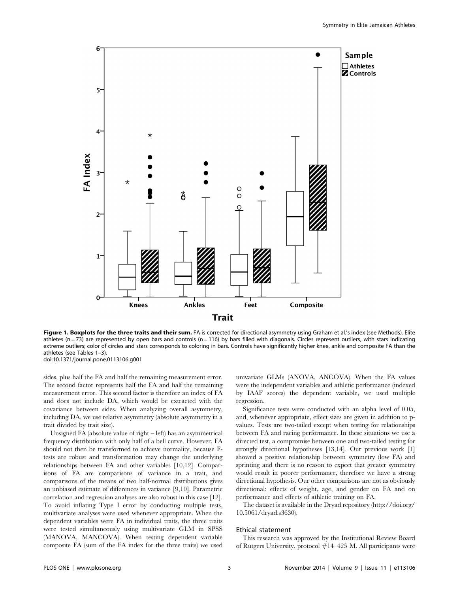

Figure 1. Boxplots for the three traits and their sum. FA is corrected for directional asymmetry using Graham et al.'s index (see Methods). Elite athletes ( $n = 73$ ) are represented by open bars and controls ( $n = 116$ ) by bars filled with diagonals. Circles represent outliers, with stars indicating extreme outliers; color of circles and stars corresponds to coloring in bars. Controls have significantly higher knee, ankle and composite FA than the athletes (see Tables 1–3). doi:10.1371/journal.pone.0113106.g001

sides, plus half the FA and half the remaining measurement error. The second factor represents half the FA and half the remaining measurement error. This second factor is therefore an index of FA and does not include DA, which would be extracted with the covariance between sides. When analyzing overall asymmetry, including DA, we use relative asymmetry (absolute asymmetry in a trait divided by trait size).

Unsigned FA (absolute value of right – left) has an asymmetrical frequency distribution with only half of a bell curve. However, FA should not then be transformed to achieve normality, because Ftests are robust and transformation may change the underlying relationships between FA and other variables [10,12]. Comparisons of FA are comparisons of variance in a trait, and comparisons of the means of two half-normal distributions gives an unbiased estimate of differences in variance [9,10]. Parametric correlation and regression analyses are also robust in this case [12]. To avoid inflating Type I error by conducting multiple tests, multivariate analyses were used whenever appropriate. When the dependent variables were FA in individual traits, the three traits were tested simultaneously using multivariate GLM in SPSS (MANOVA, MANCOVA). When testing dependent variable composite FA (sum of the FA index for the three traits) we used univariate GLMs (ANOVA, ANCOVA). When the FA values were the independent variables and athletic performance (indexed by IAAF scores) the dependent variable, we used multiple regression.

Significance tests were conducted with an alpha level of 0.05, and, whenever appropriate, effect sizes are given in addition to pvalues. Tests are two-tailed except when testing for relationships between FA and racing performance. In these situations we use a directed test, a compromise between one and two-tailed testing for strongly directional hypotheses [13,14]. Our previous work [1] showed a positive relationship between symmetry (low FA) and sprinting and there is no reason to expect that greater symmetry would result in poorer performance, therefore we have a strong directional hypothesis. Our other comparisons are not as obviously directional: effects of weight, age, and gender on FA and on performance and effects of athletic training on FA.

The dataset is available in the Dryad repository ([http://doi.org/](http://doi.org/10.5061/dryad.s3630) [10.5061/dryad.s3630\)](http://doi.org/10.5061/dryad.s3630).

#### Ethical statement

This research was approved by the Institutional Review Board of Rutgers University, protocol #14–425 M. All participants were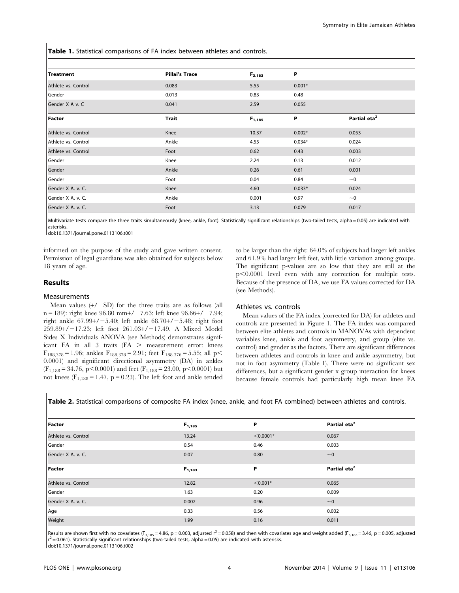Table 1. Statistical comparisons of FA index between athletes and controls.

| <b>Treatment</b>    | <b>Pillai's Trace</b> | $F_{3,183}$ | P        |                          |
|---------------------|-----------------------|-------------|----------|--------------------------|
| Athlete vs. Control | 0.083                 | 5.55        | $0.001*$ |                          |
| Gender              | 0.013                 | 0.83        | 0.48     |                          |
| Gender X A v. C     | 0.041                 | 2.59        | 0.055    |                          |
| Factor              | <b>Trait</b>          | $F_{1,185}$ | P        | Partial eta <sup>2</sup> |
| Athlete vs. Control | Knee                  | 10.37       | $0.002*$ | 0.053                    |
| Athlete vs. Control | Ankle                 | 4.55        | $0.034*$ | 0.024                    |
| Athlete vs. Control | Foot                  | 0.62        | 0.43     | 0.003                    |
| Gender              | Knee                  | 2.24        | 0.13     | 0.012                    |
| Gender              | Ankle                 | 0.26        | 0.61     | 0.001                    |
| Gender              | Foot                  | 0.04        | 0.84     | ~1                       |
| Gender X A. v. C.   | Knee                  | 4.60        | $0.033*$ | 0.024                    |
| Gender X A. v. C.   | Ankle                 | 0.001       | 0.97     | $~\sim$ 0                |
| Gender X A. v. C.   | Foot                  | 3.13        | 0.079    | 0.017                    |

Multivariate tests compare the three traits simultaneously (knee, ankle, foot). Statistically significant relationships (two-tailed tests, alpha = 0.05) are indicated with asterisks.

doi:10.1371/journal.pone.0113106.t001

informed on the purpose of the study and gave written consent. Permission of legal guardians was also obtained for subjects below 18 years of age.

## Results

#### Measurements

Mean values  $(+/-SD)$  for the three traits are as follows (all n = 189): right knee 96.80 mm +  $/ - 7.63$ ; left knee 96.66 +  $/ - 7.94$ ; right ankle  $67.99+/-5.40$ ; left ankle  $68.70+/-5.48$ ; right foot 259.89+/-17.23; left foot 261.03+/-17.49. A Mixed Model Sides X Individuals ANOVA (see Methods) demonstrates significant FA in all 3 traits  $(FA > measurement error: kness$  $F_{188,378} = 1.96$ ; ankles  $F_{188,378} = 2.91$ ; feet  $F_{188,376} = 5.55$ ; all p 0.0001) and significant directional asymmetry (DA) in ankles  $(F_{1,188} = 34.76, p < 0.0001)$  and feet  $(F_{1,188} = 23.00, p < 0.0001)$  but not knees  $(F_{1,188} = 1.47, p = 0.23)$ . The left foot and ankle tended

to be larger than the right: 64.0% of subjects had larger left ankles and 61.9% had larger left feet, with little variation among groups. The significant p-values are so low that they are still at the  $p<0.0001$  level even with any correction for multiple tests. Because of the presence of DA, we use FA values corrected for DA (see Methods).

## Athletes vs. controls

Mean values of the FA index (corrected for DA) for athletes and controls are presented in Figure 1. The FA index was compared between elite athletes and controls in MANOVAs with dependent variables knee, ankle and foot asymmetry, and group (elite vs. control) and gender as the factors. There are significant differences between athletes and controls in knee and ankle asymmetry, but not in foot asymmetry (Table 1). There were no significant sex differences, but a significant gender x group interaction for knees because female controls had particularly high mean knee FA

Table 2. Statistical comparisons of composite FA index (knee, ankle, and foot FA combined) between athletes and controls.

| Factor              | $F_{1,185}$ | P           | Partial eta <sup>2</sup> |
|---------------------|-------------|-------------|--------------------------|
| Athlete vs. Control | 13.24       | $< 0.0001*$ | 0.067                    |
| Gender              | 0.54        | 0.46        | 0.003                    |
| Gender X A. v. C.   | 0.07        | 0.80        | ~1                       |
| Factor              |             | P           | Partial eta <sup>2</sup> |
|                     | $F_{1,183}$ |             |                          |
| Athlete vs. Control | 12.82       | $< 0.001*$  | 0.065                    |
| Gender              | 1.63        | 0.20        | 0.009                    |
| Gender X A. v. C.   | 0.002       | 0.96        | ~1                       |
| Age                 | 0.33        | 0.56        | 0.002                    |

Results are shown first with no covariates (F<sub>3,185</sub> = 4.86, p = 0.003, adjusted  $r^2$  = 0.058) and then with covariates age and weight added (F<sub>5,183</sub> = 3.46, p = 0.005, adjusted  $r^2$  = 0.061). Statistically significant relationships (two-tailed tests, alpha = 0.05) are indicated with asterisks.

doi:10.1371/journal.pone.0113106.t002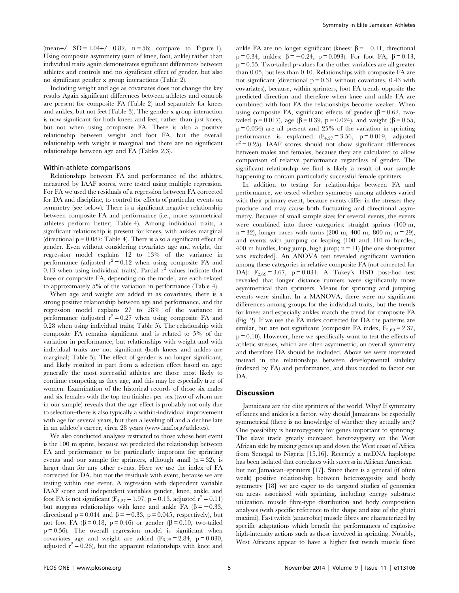$(mean+/-SD = 1.04+/-0.82, n = 56; compare to Figure 1).$ Using composite asymmetry (sum of knee, foot, ankle) rather than individual traits again demonstrates significant differences between athletes and controls and no significant effect of gender, but also no significant gender x group interactions (Table 2).

Including weight and age as covariates does not change the key results Again significant differences between athletes and controls are present for composite FA (Table 2) and separately for knees and ankles, but not feet (Table 3). The gender x group interaction is now significant for both knees and feet, rather than just knees, but not when using composite FA. There is also a positive relationship between weight and foot FA, but the overall relationship with weight is marginal and there are no significant relationships between age and FA (Tables 2,3).

## Within-athlete comparisons

Relationships between FA and performance of the athletes, measured by IAAF scores, were tested using multiple regression. For FA we used the residuals of a regression between FA corrected for DA and discipline, to control for effects of particular events on symmetry (see below). There is a significant negative relationship between composite FA and performance (i.e., more symmetrical athletes perform better; Table 4). Among individual traits, a significant relationship is present for knees, with ankles marginal (directional  $p = 0.087$ ; Table 4). There is also a significant effect of gender. Even without considering covariates age and weight, the regression model explains 12 to 13% of the variance in performance (adjusted  $r^2 = 0.12$  when using composite FA and 0.13 when using individual traits). Partial  $r^2$  values indicate that knee or composite FA, depending on the model, are each related to approximately 5% of the variation in performance (Table 4).

When age and weight are added in as covariates, there is a strong positive relationship between age and performance, and the regression model explains 27 to 28% of the variance in performance (adjusted  $r^2 = 0.27$  when using composite FA and 0.28 when using individual traits; Table 5). The relationship with composite FA remains significant and is related to 5% of the variation in performance, but relationships with weight and with individual traits are not significant (both knees and ankles are marginal; Table 5). The effect of gender is no longer significant, and likely resulted in part from a selection effect based on age: generally the most successful athletes are those most likely to continue competing as they age, and this may be especially true of women. Examination of the historical records of those six males and six females with the top ten finishes per sex (two of whom are in our sample) reveals that the age effect is probably not only due to selection–there is also typically a within-individual improvement with age for several years, but then a leveling off and a decline late in an athlete's career, circa 28 years ([www.iaaf.org/athletes\)](www.iaaf.org/athletes).

We also conducted analyses restricted to those whose best event is the 100 m sprint, because we predicted the relationship between FA and performance to be particularly important for sprinting events and our sample for sprinters, although small  $(n = 32)$ , is larger than for any other events. Here we use the index of FA corrected for DA, but not the residuals with event, because we are testing within one event. A regression with dependent variable IAAF score and independent variables gender, knee, ankle, and foot FA is not significant ( $F_{4,27} = 1.97$ , p = 0.13, adjusted r<sup>2</sup> = 0.11) but suggests relationships with knee and ankle FA ( $\beta$  = -0.33, directional  $p = 0.044$  and  $\beta = -0.33$ ,  $p = 0.045$ , respectively), but not foot FA ( $\beta$  = 0.18, p = 0.46) or gender ( $\beta$  = 0.10, two-tailed  $p = 0.56$ ). The overall regression model is significant when covariates age and weight are added  $(F_{6,25} = 2.84, p = 0.030,$ adjusted  $r^2 = 0.26$ ), but the apparent relationships with knee and ankle FA are no longer significant (knees:  $\beta = -0.11$ , directional p = 0.34; ankles:  $\beta$  = -0.24, p = 0.093). For foot FA,  $\beta$  = 0.13,  $p = 0.55$ . Two-tailed p-values for the other variables are all greater than 0.05, but less than 0.10. Relationships with composite FA are not significant (directional  $p = 0.31$  without covariates, 0.43 with covariates), because, within sprinters, foot FA trends opposite the predicted direction and therefore when knee and ankle FA are combined with foot FA the relationships become weaker. When using composite FA, significant effects of gender ( $\beta$  = 0.62, twotailed p = 0.017), age ( $\beta$  = 0.39, p = 0.024), and weight ( $\beta$  = 0.55,  $p = 0.034$  are all present and 25% of the variation in sprinting performance is explained  $(F_{4,27} = 3.56, p = 0.019,$  adjusted  $r^2$  = 0.25). IAAF scores should not show significant differences between males and females, because they are calculated to allow comparison of relative performance regardless of gender. The significant relationship we find is likely a result of our sample happening to contain particularly successful female sprinters.

In addition to testing for relationships between FA and performance, we tested whether symmetry among athletes varied with their primary event, because events differ in the stresses they produce and may cause both fluctuating and directional asymmetry. Because of small sample sizes for several events, the events were combined into three categories: straight sprints (100 m,  $n = 32$ , longer races with turns (200 m, 400 m, 800 m;  $n = 29$ ), and events with jumping or leaping (100 and 110 m hurdles,  $400 \text{ m}$  hurdles, long jump, high jump;  $n = 11$ ) [the one shot-putter was excluded]. An ANOVA test revealed significant variation among these categories in relative composite FA (not corrected for DA):  $F_{2,69} = 3.67$ , p = 0.031. A Tukey's HSD post-hoc test revealed that longer distance runners were significantly more asymmetrical than sprinters. Means for sprinting and jumping events were similar. In a MANOVA, there were no significant differences among groups for the individual traits, but the trends for knees and especially ankles match the trend for composite FA (Fig. 2). If we use the FA index corrected for DA the patterns are similar, but are not significant (composite FA index,  $F_{2,69} = 2.37$ ,  $p = 0.10$ ). However, here we specifically want to test the effects of athletic stresses, which are often asymmetric, on overall symmetry and therefore DA should be included. Above we were interested instead in the relationships between developmental stability (indexed by FA) and performance, and thus needed to factor out DA.

## Discussion

Jamaicans are the elite sprinters of the world. Why? If symmetry of knees and ankles is a factor, why should Jamaicans be especially symmetrical (there is no knowledge of whether they actually are)? One possibility is heterozygosity for genes important to sprinting. The slave trade greatly increased heterozygosity on the West African side by mixing genes up and down the West coast of Africa from Senegal to Nigeria [15,16]. Recently a mtDNA haplotype has been isolated that correlates with success in African American– but not Jamaican–sprinters [17]. Since there is a general (if often weak) positive relationship between heterozygosity and body symmetry [18] we are eager to do targeted studies of genomics on areas associated with sprinting, including energy substrate utilization, muscle fibre-type distribution and body composition analyses (with specific reference to the shape and size of the glutei maximi). Fast twitch (anaerobic) muscle fibres are characterized by specific adaptations which benefit the performances of explosive high-intensity actions such as those involved in sprinting. Notably, West Africans appear to have a higher fast twitch muscle fibre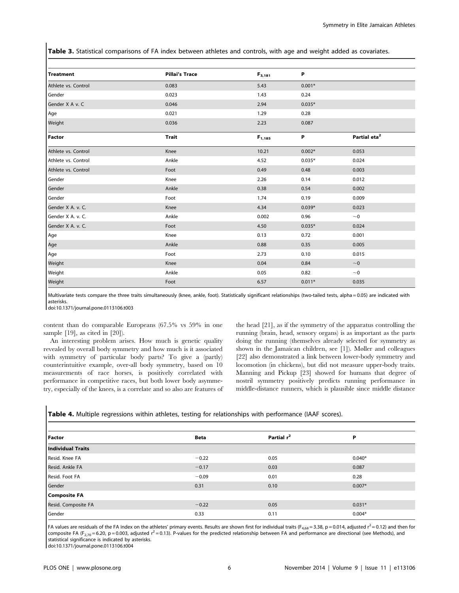Table 3. Statistical comparisons of FA index between athletes and controls, with age and weight added as covariates.

| Treatment           | <b>Pillai's Trace</b> | $F_{3,181}$ | P        |                          |
|---------------------|-----------------------|-------------|----------|--------------------------|
| Athlete vs. Control | 0.083                 | 5.43        | $0.001*$ |                          |
| Gender              | 0.023                 | 1.43        | 0.24     |                          |
| Gender X A v. C     | 0.046                 | 2.94        | $0.035*$ |                          |
| Age                 | 0.021                 | 1.29        | 0.28     |                          |
| Weight              | 0.036                 | 2.23        | 0.087    |                          |
| <b>Factor</b>       | <b>Trait</b>          | $F_{1,185}$ | Ρ        | Partial eta <sup>2</sup> |
| Athlete vs. Control | Knee                  | 10.21       | $0.002*$ | 0.053                    |
| Athlete vs. Control | Ankle                 | 4.52        | $0.035*$ | 0.024                    |
| Athlete vs. Control | Foot                  | 0.49        | 0.48     | 0.003                    |
| Gender              | Knee                  | 2.26        | 0.14     | 0.012                    |
| Gender              | Ankle                 | 0.38        | 0.54     | 0.002                    |
| Gender              | Foot                  | 1.74        | 0.19     | 0.009                    |
| Gender X A. v. C.   | Knee                  | 4.34        | $0.039*$ | 0.023                    |
| Gender X A. v. C.   | Ankle                 | 0.002       | 0.96     | $~\sim$ 0                |
| Gender X A. v. C.   | Foot                  | 4.50        | $0.035*$ | 0.024                    |
| Age                 | Knee                  | 0.13        | 0.72     | 0.001                    |
| Age                 | Ankle                 | 0.88        | 0.35     | 0.005                    |
| Age                 | Foot                  | 2.73        | 0.10     | 0.015                    |
| Weight              | Knee                  | 0.04        | 0.84     | $~\sim$ 0                |
| Weight              | Ankle                 | 0.05        | 0.82     | $~\sim$ 0                |
| Weight              | Foot                  | 6.57        | $0.011*$ | 0.035                    |

Multivariate tests compare the three traits simultaneously (knee, ankle, foot). Statistically significant relationships (two-tailed tests, alpha = 0.05) are indicated with asterisks.

doi:10.1371/journal.pone.0113106.t003

content than do comparable Europeans (67.5% vs 59% in one sample [19], as cited in [20]).

An interesting problem arises. How much is genetic quality revealed by overall body symmetry and how much is it associated with symmetry of particular body parts? To give a (partly) counterintuitive example, over-all body symmetry, based on 10 measurements of race horses, is positively correlated with performance in competitive races, but both lower body asymmetry, especially of the knees, is a correlate and so also are features of the head [21], as if the symmetry of the apparatus controlling the running (brain, head, sensory organs) is as important as the parts doing the running (themselves already selected for symmetry as shown in the Jamaican children, see [1]). Møller and colleagues [22] also demonstrated a link between lower-body symmetry and locomotion (in chickens), but did not measure upper-body traits. Manning and Pickup [23] showed for humans that degree of nostril symmetry positively predicts running performance in middle-distance runners, which is plausible since middle distance

Table 4. Multiple regressions within athletes, testing for relationships with performance (IAAF scores).

| <b>Factor</b>       | <b>Beta</b> | Partial r <sup>2</sup> | P        |
|---------------------|-------------|------------------------|----------|
| Individual Traits   |             |                        |          |
| Resid. Knee FA      | $-0.22$     | 0.05                   | $0.040*$ |
| Resid. Ankle FA     | $-0.17$     | 0.03                   | 0.087    |
| Resid. Foot FA      | $-0.09$     | 0.01                   | 0.28     |
| Gender              | 0.31        | 0.10                   | $0.007*$ |
| <b>Composite FA</b> |             |                        |          |
| Resid. Composite FA | $-0.22$     | 0.05                   | $0.031*$ |
| Gender              | 0.33        | 0.11                   | $0.004*$ |

FA values are residuals of the FA index on the athletes' primary events. Results are shown first for individual traits (F<sub>4,68</sub> = 3.38, p = 0.014, adjusted  $r^2$  = 0.12) and then for composite FA (F<sub>2,70</sub> = 6.20, p = 0.003, adjusted  $r^2$  = 0.13). P-values for the predicted relationship between FA and performance are directional (see Methods), and statistical significance is indicated by asterisks.

doi:10.1371/journal.pone.0113106.t004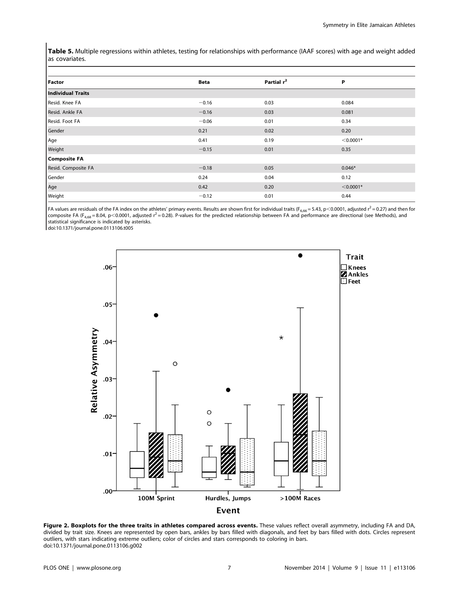Table 5. Multiple regressions within athletes, testing for relationships with performance (IAAF scores) with age and weight added as covariates.

| <b>Factor</b>            | <b>Beta</b> | Partial r <sup>2</sup> | P           |
|--------------------------|-------------|------------------------|-------------|
| <b>Individual Traits</b> |             |                        |             |
| Resid. Knee FA           | $-0.16$     | 0.03                   | 0.084       |
| Resid. Ankle FA          | $-0.16$     | 0.03                   | 0.081       |
| Resid. Foot FA           | $-0.06$     | 0.01                   | 0.34        |
| Gender                   | 0.21        | 0.02                   | 0.20        |
| Age                      | 0.41        | 0.19                   | $< 0.0001*$ |
| Weight                   | $-0.15$     | 0.01                   | 0.35        |
| <b>Composite FA</b>      |             |                        |             |
| Resid. Composite FA      | $-0.18$     | 0.05                   | $0.046*$    |
| Gender                   | 0.24        | 0.04                   | 0.12        |
| Age                      | 0.42        | 0.20                   | $< 0.0001*$ |
| Weight                   | $-0.12$     | 0.01                   | 0.44        |

FA values are residuals of the FA index on the athletes' primary events. Results are shown first for individual traits ( $F_{6,66}$  = 5.43, p < 0.0001, adjusted r<sup>2</sup> = 0.27) and then for composite FA (F<sub>4,68</sub> = 8.04, p<0.0001, adjusted  $r^2 = 0.28$ ). P-values for the predicted relationship between FA and performance are directional (see Methods), and statistical significance is indicated by asterisks.

doi:10.1371/journal.pone.0113106.t005



Figure 2. Boxplots for the three traits in athletes compared across events. These values reflect overall asymmetry, including FA and DA, divided by trait size. Knees are represented by open bars, ankles by bars filled with diagonals, and feet by bars filled with dots. Circles represent outliers, with stars indicating extreme outliers; color of circles and stars corresponds to coloring in bars. doi:10.1371/journal.pone.0113106.g002